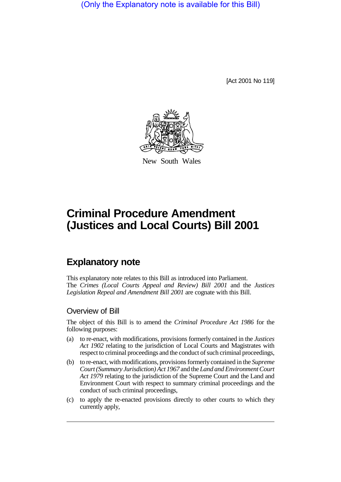(Only the Explanatory note is available for this Bill)

[Act 2001 No 119]



New South Wales

# **Criminal Procedure Amendment (Justices and Local Courts) Bill 2001**

# **Explanatory note**

This explanatory note relates to this Bill as introduced into Parliament. The *Crimes (Local Courts Appeal and Review) Bill 2001* and the *Justices Legislation Repeal and Amendment Bill 2001* are cognate with this Bill.

## Overview of Bill

The object of this Bill is to amend the *Criminal Procedure Act 1986* for the following purposes:

- (a) to re-enact, with modifications, provisions formerly contained in the *Justices Act 1902* relating to the jurisdiction of Local Courts and Magistrates with respect to criminal proceedings and the conduct of such criminal proceedings,
- (b) to re-enact, with modifications, provisions formerly contained in the *Supreme Court (Summary Jurisdiction) Act 1967* and the *Land and Environment Court Act 1979* relating to the jurisdiction of the Supreme Court and the Land and Environment Court with respect to summary criminal proceedings and the conduct of such criminal proceedings,
- (c) to apply the re-enacted provisions directly to other courts to which they currently apply,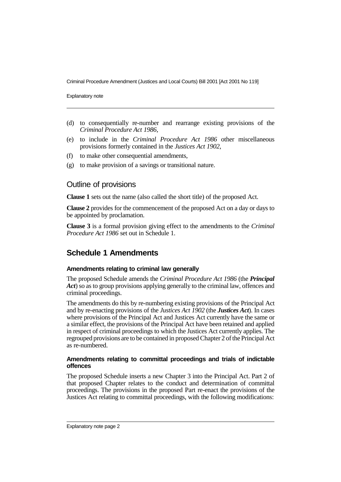Explanatory note

- (d) to consequentially re-number and rearrange existing provisions of the *Criminal Procedure Act 1986*,
- (e) to include in the *Criminal Procedure Act 1986* other miscellaneous provisions formerly contained in the *Justices Act 1902*,
- (f) to make other consequential amendments,
- (g) to make provision of a savings or transitional nature.

## Outline of provisions

**Clause 1** sets out the name (also called the short title) of the proposed Act.

**Clause 2** provides for the commencement of the proposed Act on a day or days to be appointed by proclamation.

**Clause 3** is a formal provision giving effect to the amendments to the *Criminal Procedure Act 1986* set out in Schedule 1.

## **Schedule 1 Amendments**

## **Amendments relating to criminal law generally**

The proposed Schedule amends the *Criminal Procedure Act 1986* (the *Principal Act*) so as to group provisions applying generally to the criminal law, offences and criminal proceedings.

The amendments do this by re-numbering existing provisions of the Principal Act and by re-enacting provisions of the *Justices Act 1902* (the *Justices Act*). In cases where provisions of the Principal Act and Justices Act currently have the same or a similar effect, the provisions of the Principal Act have been retained and applied in respect of criminal proceedings to which the Justices Act currently applies. The regrouped provisions are to be contained in proposed Chapter 2 of the Principal Act as re-numbered.

## **Amendments relating to committal proceedings and trials of indictable offences**

The proposed Schedule inserts a new Chapter 3 into the Principal Act. Part 2 of that proposed Chapter relates to the conduct and determination of committal proceedings. The provisions in the proposed Part re-enact the provisions of the Justices Act relating to committal proceedings, with the following modifications: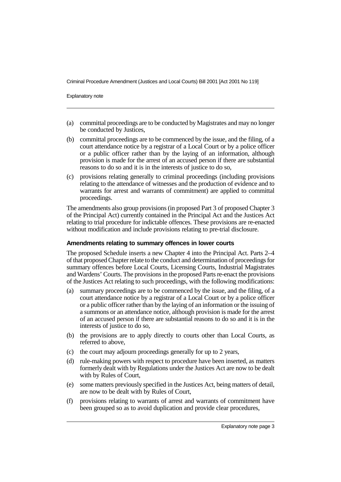Explanatory note

- (a) committal proceedings are to be conducted by Magistrates and may no longer be conducted by Justices,
- (b) committal proceedings are to be commenced by the issue, and the filing, of a court attendance notice by a registrar of a Local Court or by a police officer or a public officer rather than by the laying of an information, although provision is made for the arrest of an accused person if there are substantial reasons to do so and it is in the interests of justice to do so,
- (c) provisions relating generally to criminal proceedings (including provisions relating to the attendance of witnesses and the production of evidence and to warrants for arrest and warrants of commitment) are applied to committal proceedings.

The amendments also group provisions (in proposed Part 3 of proposed Chapter 3 of the Principal Act) currently contained in the Principal Act and the Justices Act relating to trial procedure for indictable offences. These provisions are re-enacted without modification and include provisions relating to pre-trial disclosure.

## **Amendments relating to summary offences in lower courts**

The proposed Schedule inserts a new Chapter 4 into the Principal Act. Parts 2–4 of that proposed Chapter relate to the conduct and determination of proceedings for summary offences before Local Courts, Licensing Courts, Industrial Magistrates and Wardens' Courts. The provisions in the proposed Parts re-enact the provisions of the Justices Act relating to such proceedings, with the following modifications:

- (a) summary proceedings are to be commenced by the issue, and the filing, of a court attendance notice by a registrar of a Local Court or by a police officer or a public officer rather than by the laying of an information or the issuing of a summons or an attendance notice, although provision is made for the arrest of an accused person if there are substantial reasons to do so and it is in the interests of justice to do so,
- (b) the provisions are to apply directly to courts other than Local Courts, as referred to above,
- (c) the court may adjourn proceedings generally for up to 2 years,
- (d) rule-making powers with respect to procedure have been inserted, as matters formerly dealt with by Regulations under the Justices Act are now to be dealt with by Rules of Court,
- (e) some matters previously specified in the Justices Act, being matters of detail, are now to be dealt with by Rules of Court,
- (f) provisions relating to warrants of arrest and warrants of commitment have been grouped so as to avoid duplication and provide clear procedures,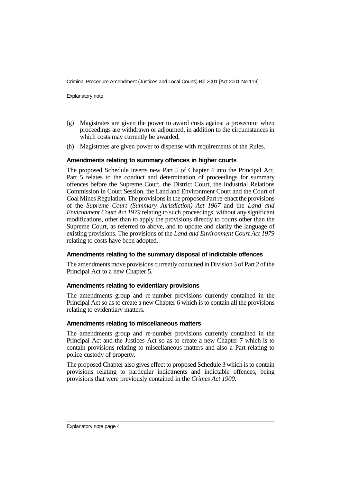Explanatory note

- (g) Magistrates are given the power to award costs against a prosecutor when proceedings are withdrawn or adjourned, in addition to the circumstances in which costs may currently be awarded,
- (h) Magistrates are given power to dispense with requirements of the Rules.

## **Amendments relating to summary offences in higher courts**

The proposed Schedule inserts new Part 5 of Chapter 4 into the Principal Act. Part 5 relates to the conduct and determination of proceedings for summary offences before the Supreme Court, the District Court, the Industrial Relations Commission in Court Session, the Land and Environment Court and the Court of Coal Mines Regulation. The provisions in the proposed Part re-enact the provisions of the *Supreme Court (Summary Jurisdiction) Act 1967* and the *Land and Environment Court Act 1979* relating to such proceedings, without any significant modifications, other than to apply the provisions directly to courts other than the Supreme Court, as referred to above, and to update and clarify the language of existing provisions. The provisions of the *Land and Environment Court Act 1979* relating to costs have been adopted.

## **Amendments relating to the summary disposal of indictable offences**

The amendments move provisions currently contained in Division 3 of Part 2 of the Principal Act to a new Chapter 5.

## **Amendments relating to evidentiary provisions**

The amendments group and re-number provisions currently contained in the Principal Act so as to create a new Chapter 6 which is to contain all the provisions relating to evidentiary matters.

## **Amendments relating to miscellaneous matters**

The amendments group and re-number provisions currently contained in the Principal Act and the Justices Act so as to create a new Chapter 7 which is to contain provisions relating to miscellaneous matters and also a Part relating to police custody of property.

The proposed Chapter also gives effect to proposed Schedule 3 which is to contain provisions relating to particular indictments and indictable offences, being provisions that were previously contained in the *Crimes Act 1900*.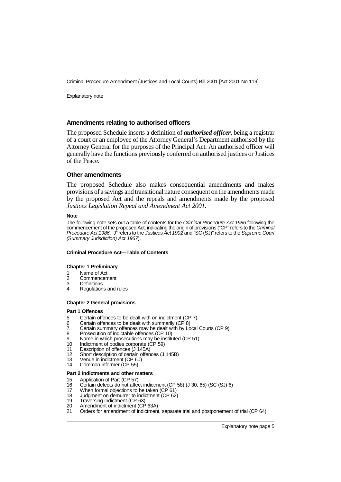Explanatory note

## **Amendments relating to authorised officers**

The proposed Schedule inserts a definition of *authorised officer*, being a registrar of a court or an employee of the Attorney General's Department authorised by the Attorney General for the purposes of the Principal Act. An authorised officer will generally have the functions previously conferred on authorised justices or Justices of the Peace.

## **Other amendments**

The proposed Schedule also makes consequential amendments and makes provisions of a savings and transitional nature consequent on the amendments made by the proposed Act and the repeals and amendments made by the proposed *Justices Legislation Repeal and Amendment Act 2001*.

## **Note**

The following note sets out a table of contents for the Criminal Procedure Act 1986 following the commencement of the proposed Act, indicating the origin of provisions ("CP" refers to the Criminal Procedure Act 1986, "J" refers to the Justices Act 1902 and "SC (SJ)" refers to the Supreme Court (Summary Jurisdiction) Act 1967).

## **Criminal Procedure Act—Table of Contents**

## **Chapter 1 Preliminary**

- 1 Name of Act
- 2 Commencement<br>3 Definitions
- 3 Definitions<br>4 Requision
- Regulations and rules

## **Chapter 2 General provisions**

## **Part 1 Offences**

- 5 Certain offences to be dealt with on indictment (CP 7)<br>6 Certain offences to be dealt with summarily (CP 8)
- Certain offences to be dealt with summarily  $(CP \ 8)$
- 7 Certain summary offences may be dealt with by  $\angle$  ocal Courts (CP 9)<br>8 Prosecution of indictable offences (CP 10)
- 8 Prosecution of indictable offences (CP 10)
- 9 Name in which prosecutions may be instituted (CP 51)<br>10 Indictment of bodies corporate (CP 59)
- Indictment of bodies corporate (CP 59)
- 11 Description of offences (J 145A)<br>12 Short description of certain offen
- 12 Short description of certain offences (J 145B)<br>13 Venue in indictment (CP 60)
- 13 Venue in indictment (CP 60)<br>14 Common informer (CP 55)
- Common informer (CP 55)

## **Part 2 Indictments and other matters**

- 15 Application of Part (CP 57)<br>16 Certain defects do not affer
- 16 Certain defects do not affect indictment (CP 58) (J 30, 65) (SC (SJ) 6)
- When formal objections to be taken (CP 61)
- 18 Judgment on demurrer to indictment (CP 62)
- 19 Traversing indictment (CP 63)<br>20 Amendment of indictment (CF
- 20 Amendment of indictment (CP 63A)<br>21 Orders for amendment of indictment
- 21 Orders for amendment of indictment, separate trial and postponement of trial (CP 64)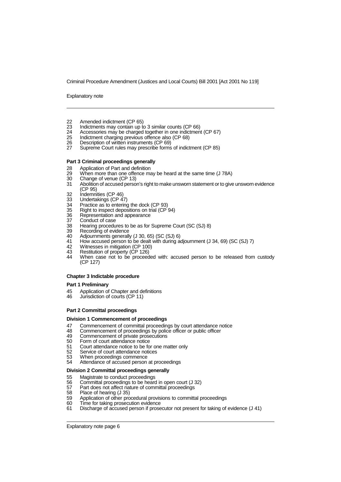Explanatory note

- 22 Amended indictment (CP 65)<br>23 Indictments may contain up to
- 23 Indictments may contain up to 3 similar counts (CP 66)<br>24 Accessories may be charged together in one indictment
- 24 Accessories may be charged together in one indictment (CP 67)<br>25 Indictment charging previous offence also (CP 68)
- 25 Indictment charging previous offence also (CP 68)<br>26 Description of written instruments (CP 69)
- 26 Description of written instruments (CP 69)
- Supreme Court rules may prescribe forms of indictment (CP 85)

### **Part 3 Criminal proceedings generally**

- 28 Application of Part and definition<br>29 When more than one offence ma
- 29 When more than one offence may be heard at the same time (J 78A)<br>30 Change of venue (CP 13)
- 30 Change of venue (CP 13)<br>31 Abolition of accused perso
- Abolition of accused person's right to make unsworn statement or to give unsworn evidence (CP 95)
- 
- 32 Indemnities (CP 46)<br>33 Undertakings (CP 4<br>34 Practice as to enteri Undertakings (CP 47)
- 
- 34 Practice as to entering the dock (CP 93)<br>35 Right to inspect depositions on trial (CP 35 Right to inspect depositions on trial (CP 94)<br>36 Representation and appearance
- 36 Representation and appearance<br>37 Conduct of case
- 
- 37 Conduct of case<br>38 Hearing procedu<br>39 Recording of evic Hearing procedures to be as for Supreme Court (SC (SJ) 8)
- 39 Recording of evidence<br>40 Adiournments general
- 40 Adjournments generally (J 30, 65) (SC (SJ) 6)<br>41 How accused person to be dealt with during a
- 41 How accused person to be dealt with during adjournment (J 34, 69) (SC (SJ) 7)<br>42 Witnesses in mitigation (CP 100)
- 42 Witnesses in mitigation (CP 100)<br>43 Restitution of property (CP 126)
- 43 Restitution of property (CP 126)<br>44 When case not to be proceed
- When case not to be proceeded with: accused person to be released from custody (CP 127)

#### **Chapter 3 Indictable procedure**

### **Part 1 Preliminary**

- 45 Application of Chapter and definitions<br>46 Jurisdiction of courts (CP 11)
- Jurisdiction of courts (CP 11)

## **Part 2 Committal proceedings**

#### **Division 1 Commencement of proceedings**

- 47 Commencement of committal proceedings by court attendance notice<br>48 Commencement of proceedings by police officer or public officer
- 48 Commencement of proceedings by police officer or public officer<br>49 Commencement of private prosecutions
- 49 Commencement of private prosecutions<br>50 Form of court attendance potice
- 50 Form of court attendance notice<br>51 Court attendance notice to be fo
- Court attendance notice to be for one matter only
- 52 Service of court attendance notices<br>53 When proceedings commence
- 53 When proceedings commence<br>54 Attendance of accused person
- Attendance of accused person at proceedings

## **Division 2 Committal proceedings generally**

- 55 Magistrate to conduct proceedings<br>56 Committal proceedings to be heard
- 56 Committal proceedings to be heard in open court (J 32)<br>57 Part does not affect nature of committal proceedings
- 57 Part does not affect nature of committal proceedings<br>58 Place of hearing (1.35)
- 58 Place of hearing (J 35)<br>59 Application of other pro
- 59 Application of other procedural provisions to committal proceedings<br>60 Time for taking prosecution evidence
- 60 Time for taking prosecution evidence
- Discharge of accused person if prosecutor not present for taking of evidence (J 41)

Explanatory note page 6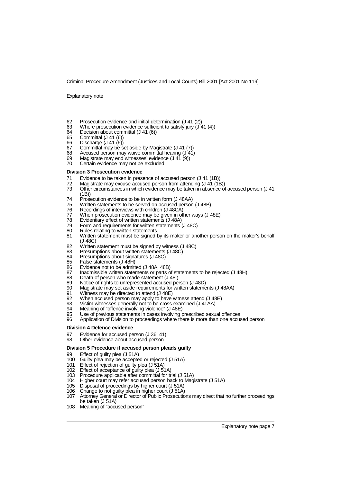Explanatory note

- 62 Prosecution evidence and initial determination  $(3 \t{41} (2))$ <br>63 Where prosecution evidence sufficient to satisfy jury  $(3 \t{4})$
- 63 Where prosecution evidence sufficient to satisfy jury  $(J 41 (4))$ <br>64 Decision about committal (J 41 (6))
- 64 Decision about committal  $($ J 41  $(6)$ )<br>65 Committal  $($ J 41 $(6)$ )
- 65 Committal (J 41 (6))
- 66 Discharge (J 41 (6))
- 67 Committal may be set aside by Magistrate (J 41 (7)<br>68 Accused person may waive committal bearing (J 41)
- 68 Accused person may waive committal hearing  $(J \cancel{41})$ <br>69 Magistrate may end witnesses' evidence  $(J \cancel{41} (9))$
- 69 Magistrate may end witnesses' evidence  $(141 (9))$ <br>70 Certain evidence may not be excluded
- Certain evidence may not be excluded

### **Division 3 Prosecution evidence**

- 71 Evidence to be taken in presence of accused person (J 41 (1B))<br>72 Magistrate may excuse accused person from attending (J 41 (18)
- 72 Magistrate may excuse accused person from attending  $(J 41 (18))$ <br>73 Other circumstances in which evidence may be taken in absence of
- Other circumstances in which evidence may be taken in absence of accused person (J 41 (1B))
- 74 Prosecution evidence to be in written form (J 48AA)<br>75 Written statements to be served on accused person
- Written statements to be served on accused person (J 48B)
- 76 Recordings of interviews with children (J 48CA)<br>77 When prosecution evidence may be given in of
- 77 When prosecution evidence may be given in other ways (J 48E)<br>78 Evidentiary effect of written statements (J 48A)
- 78 Evidentiary effect of written statements (J 48A)
- 79 Form and requirements for written statements (J 48C)<br>80 Rules relating to written statements
- 80 Rules relating to written statements<br>81 Written statement must be signed
- Written statement must be signed by its maker or another person on the maker's behalf (J 48C)
- 82 Written statement must be signed by witness (J 48C)<br>83 Presumptions about written statements (J 48C)
- 83 Presumptions about written statements (J 48C)<br>84 Presumptions about signatures (J 48C)
- 84 Presumptions about signatures (J 48C)<br>85 False statements (J 48H)
- 85 False statements (J 48H)<br>86 Evidence not to be admitt
- Evidence not to be admitted (J 48A, 48B)
- 87 Inadmissible written statements or parts of statements to be rejected (J 48H)<br>88 Death of person who made statement (J 48I)
- 88 Death of person who made statement (J 48I)<br>89 Notice of rights to unrepresented accused pe
- 89 Notice of rights to unrepresented accused person (J 48D)<br>90 Magistrate may set aside requirements for written stateme
- 90 Magistrate may set aside requirements for written statements (J 48AA)<br>91 Mitness may be directed to attend (J 48E)
- 91 Witness may be directed to attend (J 48E)<br>92 When accused person may apply to have
- 92 When accused person may apply to have witness attend (J 48E)<br>93 Victim witnesses generally not to be cross-examined (J 41AA)
- 93 Victim witnesses generally not to be cross-examined (J 41AA)<br>94 Meaning of "offence involving violence" (J 48F)
- 94 Meaning of "offence involving violence" (J 48E)<br>95 Use of previous statements in cases involving r
- 95 Use of previous statements in cases involving prescribed sexual offences
- Application of Division to proceedings where there is more than one accused person

#### **Division 4 Defence evidence**

- 97 Evidence for accused person (J 36, 41)<br>98 Other evidence about accused person
- Other evidence about accused person

#### **Division 5 Procedure if accused person pleads guilty**

- 99 Effect of guilty plea (J 51A)<br>100 Guilty plea may be accepte
- 100 Guilty plea may be accepted or rejected (J 51A)<br>101 Effect of rejection of quilty plea (J 51A)
- Effect of rejection of guilty plea (J 51A)
- 102 Effect of acceptance of guilty plea (J 51A)
- 103 Procedure applicable after committal for trial (J 51A)
- 104 Higher court may refer accused person back to Magistrate (J 51A)
- 105 Disposal of proceedings by higher court (J 51A)
- 106 Change to not guilty plea in higher court (J 51A)
- 107 Attorney General or Director of Public Prosecutions may direct that no further proceedings be taken (J 51A)
- 108 Meaning of "accused person"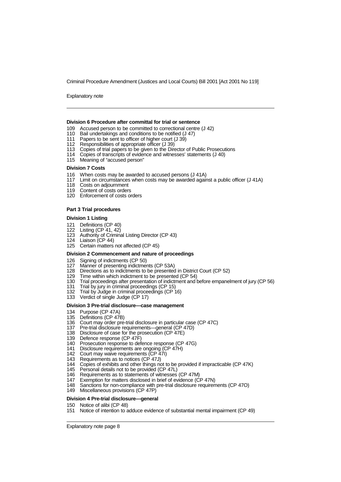Explanatory note

#### **Division 6 Procedure after committal for trial or sentence**

- 109 Accused person to be committed to correctional centre (J 42)
- 110 Bail undertakings and conditions to be notified (J 47)
- 111 Papers to be sent to officer of higher court (J 39)<br>112 Responsibilities of appropriate officer (J 39)
- Responsibilities of appropriate officer (J 39)
- 113 Copies of trial papers to be given to the Director of Public Prosecutions
- 114 Copies of transcripts of evidence and witnesses' statements (J 40)
- 115 Meaning of "accused person"

#### **Division 7 Costs**

- 116 When costs may be awarded to accused persons (J 41A)
- 117 Limit on circumstances when costs may be awarded against a public officer (J 41A)
- 118 Costs on adjournment
- 119 Content of costs orders<br>120 Enforcement of costs or
- Enforcement of costs orders

## **Part 3 Trial procedures**

### **Division 1 Listing**

- 121 Definitions (CP 40)
- 122 Listing (CP 41, 42)
- 123 Authority of Criminal Listing Director (CP 43)
- 124 Liaison (CP 44)
- 125 Certain matters not affected (CP 45)

## **Division 2 Commencement and nature of proceedings**

- 126 Signing of indictments (CP 50)
- 127 Manner of presenting indictments (CP 53A)
- 128 Directions as to indictments to be presented in District Court (CP 52)
- 129 Time within which indictment to be presented (CP 54)
- 130 Trial proceedings after presentation of indictment and before empanelment of jury (CP 56)
- 131 Trial by jury in criminal proceedings (CP 15<br>132 Trial by Judge in criminal proceedings (CP
- Trial by Judge in criminal proceedings (CP 16)
- 133 Verdict of single Judge (CP 17)

## **Division 3 Pre-trial disclosure—case management**

- 134 Purpose (CP 47A)
- 135 Definitions (CP 47B)<br>136 Court may order pre-
- Court may order pre-trial disclosure in particular case (CP 47C)
- 137 Pre-trial disclosure requirements—general (CP 47D)
- 138 Disclosure of case for the prosecution (CP 47E)
- 139 Defence response (CP 47F)<br>140 Prosecution response to dei
- 140 Prosecution response to defence response (CP 47G)<br>141 Disclosure requirements are ongoing (CP 47H)
- 141 Disclosure requirements are ongoing (CP 47H)<br>142 Court may waive requirements (CP 47I)
- 142 Court may waive requirements (CP 47I)
- 143 Requirements as to notices (CP 47J)
- 144 Copies of exhibits and other things not to be provided if impracticable (CP 47K)
- 145 Personal details not to be provided (CP 47L)<br>146 Requirements as to statements of witnesses
- 146 Requirements as to statements of witnesses (CP 47M)<br>147 Exemption for matters disclosed in brief of evidence (C
- 147 Exemption for matters disclosed in brief of evidence (CP 47N)<br>148 Sanctions for non-compliance with pre-trial disclosure requiren
- Sanctions for non-compliance with pre-trial disclosure requirements (CP 47O)
- 149 Miscellaneous provisions (CP 47P)

## **Division 4 Pre-trial disclosure—general**

- 150 Notice of alibi (CP 48)
- 151 Notice of intention to adduce evidence of substantial mental impairment (CP 49)

Explanatory note page 8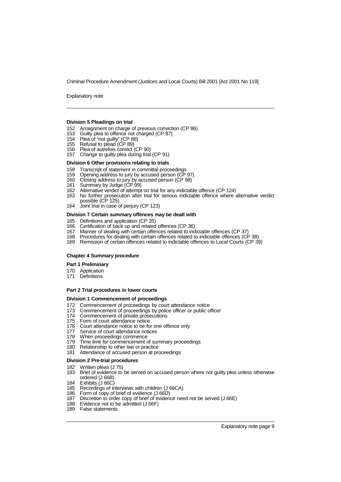Explanatory note

## **Division 5 Pleadings on trial**

- 152 Arraignment on charge of previous conviction (CP 86)
- 153 Guilty plea to offence not charged (CP 87)
- 154 Plea of "not guilty" (CP 88)
- 155 Refusal to plead (CP 89)
- 156 Plea of autrefois convict (CP 90)
- 157 Change to guilty plea during trial (CP 91)

#### **Division 6 Other provisions relating to trials**

- 158 Transcript of statement in committal proceedings
- 159 Opening address to jury by accused person (CP 97)<br>160 Closing address to jury by accused person (CP 98)
- 160 Closing address to jury by accused person (CP 98)
- 161 Summary by Judge (CP 99)
- 162 Alternative verdict of attempt on trial for any indictable offence (CP 124)
- 163 No further prosecution after trial for serious indictable offence where alternative verdict possible (CP 125)
- 164 Joint trial in case of periury (CP 123)

#### **Division 7 Certain summary offences may be dealt with**

- 165 Definitions and application (CP 35)
- 166 Certification of back up and related offences (CP 36)
- 167 Manner of dealing with certain offences related to indictable offences (CP 37)
- 168 Procedures for dealing with certain offences related to indictable offences (CP 38)<br>169 Remission of certain offences related to indictable offences to Local Courts (CP 39)
- Remission of certain offences related to indictable offences to Local Courts (CP 39)

## **Chapter 4 Summary procedure**

## **Part 1 Preliminary**

- 170 Application
- 171 Definitions

## **Part 2 Trial procedures in lower courts**

## **Division 1 Commencement of proceedings**

- 172 Commencement of proceedings by court attendance notice
- 173 Commencement of proceedings by police officer or public officer
- 174 Commencement of private prosecutions<br>175 Form of court attendance notice
- Form of court attendance notice
- 176 Court attendance notice to be for one offence only<br>177 Service of court attendance notices
- 177 Service of court attendance notices<br>178 When proceedings commence
- When proceedings commence
- 179 Time limit for commencement of summary proceedings<br>180 Relationship to other law or practice
- Relationship to other law or practice
- 181 Attendance of accused person at proceedings

### **Division 2 Pre-trial procedures**

# 182 Written pleas (J 75)<br>183 Brief of evidence to

- Brief of evidence to be served on accused person where not guilty plea unless otherwise ordered (J 66B)
- 184 Exhibits (J 66C)<br>185 Recordinas of i
- Recordings of interviews with children (J 66CA)
- 186 Form of copy of brief of evidence (J 66D)<br>187 Discretion to order copy of brief of evidenc
- 187 Discretion to order copy of brief of evidence need not be served (J 66E)<br>188 Evidence not to be admitted (J 66F)
- Evidence not to be admitted (J 66F)
- 189 False statements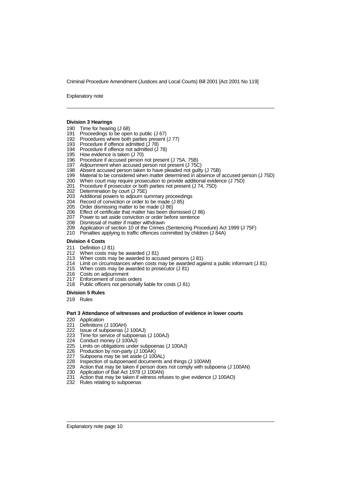Explanatory note

## **Division 3 Hearings**

- 190 Time for hearing (J 68)
- 191 Proceedings to be open to public (J 67)
- 192 Procedures where both parties present (J 77)
- 193 Procedure if offence admitted (J 78)
- 194 Procedure if offence not admitted  $(178)$ <br>195 How evidence is taken  $(170)$
- How evidence is taken (J 70)
- 196 Procedure if accused person not present (J 75A, 75B)
- 197 Adjournment when accused person not present (J 75C)
- 198 Absent accused person taken to have pleaded not guilty (J 75B)
- 199 Material to be considered when matter determined in absence of accused person (J 75D)<br>200 When court may require prosecution to provide additional evidence (J 75D)
- 200 When court may require prosecution to provide additional evidence (J 75D)<br>201 Procedure if prosecutor or both parties not present (J 74, 75D)
- 201 Procedure if prosecutor or both parties not present (J 74, 75D)<br>202 Determination by court (J 75E)
- 202 Determination by court (J 75E)<br>203 Additional powers to adjourn si
- 203 Additional powers to adjourn summary proceedings<br>204 Record of conviction or order to be made (J 85)
- 204 Record of conviction or order to be made (J 85)
- 205 Order dismissing matter to be made (J 86)<br>206 Effect of certificate that matter has been di
- 206 Effect of certificate that matter has been dismissed (J 86)<br>207 Power to set aside conviction or order before sentence
- 207 Power to set aside conviction or order before sentence<br>208 Dismissal of matter if matter withdrawn
- 208 Dismissal of matter if matter withdrawn<br>209 Application of section 10 of the Crimes
- Application of section 10 of the Crimes (Sentencing Procedure) Act 1999 (J 75F)
- 210 Penalties applying to traffic offences committed by children (J 84A)

## **Division 4 Costs**

- 
- 211 Definition (J 81)<br>212 When costs ma
- 212 When costs may be awarded (J 81)<br>213 When costs may be awarded to acc 213 When costs may be awarded to accused persons (J 81)
- 214 Limit on circumstances when costs may be awarded against a public informant (J 81)
- When costs may be awarded to prosecutor (J 81)
- 
- 216 Costs on adjournment<br>217 Enforcement of costs o Enforcement of costs orders
- 218 Public officers not personally liable for costs (J 81)

#### **Division 5 Rules**

219 Rules

## **Part 3 Attendance of witnesses and production of evidence in lower courts**

- 220 Application<br>221 Definitions
- 221 Definitions (J 100AH)<br>222 Issue of subpoenas (
- 222 Issue of subpoenas (J 100AJ)<br>223 Time for service of subpoenas
- 223 Time for service of subpoenas (J 100AJ)<br>224 Conduct money (J 100AJ)
- 224 Conduct money (J 100AJ)
- 225 Limits on obligations under subpoenas (J 100AJ)
- 226 Production by non-party (J 100AK)<br>227 Subpoena may be set aside (J 100
- 227 Subpoena may be set aside (J 100AL)<br>228 Inspection of subpoenaed documents
- 228 Inspection of subpoenaed documents and things (J 100AM)<br>229 Action that may be taken if person does not comply with sub
- 229 Action that may be taken if person does not comply with subpoena (J 100AN)
- 230 Application of Bail Act 1978 (J 100AN)<br>231 Action that may be taken if witness ref
- Action that may be taken if witness refuses to give evidence (J 100AO)
- 232 Rules relating to subpoenas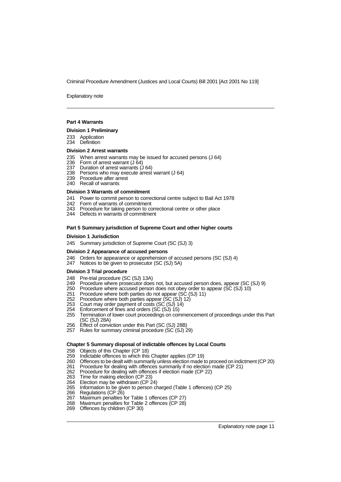Explanatory note

## **Part 4 Warrants**

#### **Division 1 Preliminary**

- 233 Application
- 234 Definition

### **Division 2 Arrest warrants**

- 235 When arrest warrants may be issued for accused persons (J 64)<br>236 Form of arrest warrant (J 64)
- 236 Form of arrest warrant (J 64)<br>237 Duration of arrest warrants (J
- Duration of arrest warrants (J 64)
- 238 Persons who may execute arrest warrant (J 64)
- 239 Procedure after arrest
- 240 Recall of warrants

### **Division 3 Warrants of commitment**

- 241 Power to commit person to correctional centre subject to Bail Act 1978<br>242 Form of warrants of commitment
- Form of warrants of commitment
- 243 Procedure for taking person to correctional centre or other place
- 244 Defects in warrants of commitment

## **Part 5 Summary jurisdiction of Supreme Court and other higher courts**

#### **Division 1 Jurisdiction**

245 Summary jurisdiction of Supreme Court (SC (SJ) 3)

#### **Division 2 Appearance of accused persons**

- 246 Orders for appearance or apprehension of accused persons (SC (SJ) 4)
- 247 Notices to be given to prosecutor (SC (SJ) 5A)

#### **Division 3 Trial procedure**

- 
- 248 Pre-trial procedure (SC (SJ) 13A)<br>249 Procedure where prosecutor does Procedure where prosecutor does not, but accused person does, appear (SC (SJ) 9)
- 250 Procedure where accused person does not obey order to appear (SC (SJ) 10)
- 251 Procedure where both parties do not appear (SC (SJ) 11)
- 252 Procedure where both parties appear (SC (SJ) 12)
- 253 Court may order payment of costs (SC (SJ) 14)
- 254 Enforcement of fines and orders (SC (SJ) 15)<br>255 Termination of lower court proceedings on con
- 255 Termination of lower court proceedings on commencement of proceedings under this Part (SC (SJ) 28A)
- 256 Effect of conviction under this Part (SC (SJ) 28B)
- 257 Rules for summary criminal procedure (SC (SJ) 29)

## **Chapter 5 Summary disposal of indictable offences by Local Courts**

- 258 Objects of this Chapter (CP 18)<br>259 Indictable offences to which this
- 259 Indictable offences to which this Chapter applies (CP 19)
- 260 Offences to be dealt with summarily unless election made to proceed on indictment (CP 20)<br>261 Procedure for dealing with offences summarily if no election made (CP 21)
- 261 Procedure for dealing with offences summarily if no election made (CP 21)
- Procedure for dealing with offences if election made (CP 22)
- 263 Time for making election (CP 23)<br>264 Election may be withdrawn (CP 2
- 264 Election may be withdrawn (CP 24)<br>265 Information to be given to person c
- 265 Information to be given to person charged (Table 1 offences) (CP 25)
- 266 Regulations (CP 26)<br>267 Maximum penalties f
- 267 Maximum penalties for Table 1 offences (CP 27)<br>268 Maximum penalties for Table 2 offences (CP 28)
- Maximum penalties for Table 2 offences (CP 28)
- 269 Offences by children (CP 30)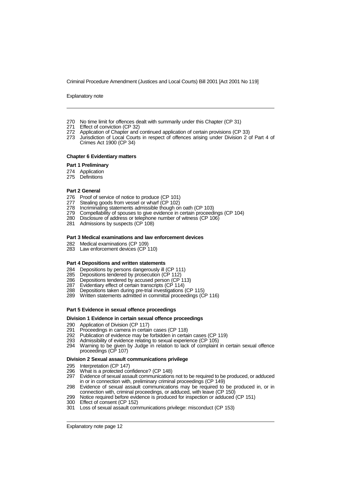Explanatory note

- 270 No time limit for offences dealt with summarily under this Chapter (CP 31)<br>271 Effect of conviction (CP 32)
- 
- 271 Effect of conviction (CP 32)<br>272 Application of Chapter and Application of Chapter and continued application of certain provisions (CP 33)
- 273 Jurisdiction of Local Courts in respect of offences arising under Division 2 of Part 4 of Crimes Act 1900 (CP 34)

### **Chapter 6 Evidentiary matters**

## **Part 1 Preliminary**

- 274 Application
- 275 Definitions

#### **Part 2 General**

- 276 Proof of service of notice to produce (CP 101)<br>277 Stealing goods from vessel or wharf (CP 102)
- 277 Stealing goods from vessel or wharf (CP 102)<br>278 Incriminating statements admissible though or
- Incriminating statements admissible though on oath (CP 103)
- 279 Compellability of spouses to give evidence in certain proceedings (CP 104)
- 280 Disclosure of address or telephone number of witness (CP 106)
- 281 Admissions by suspects (CP 108)

#### **Part 3 Medical examinations and law enforcement devices**

- 282 Medical examinations (CP 109)
- 283 Law enforcement devices (CP 110)

#### **Part 4 Depositions and written statements**

- 284 Depositions by persons dangerously ill (CP 111)
- 285 Depositions tendered by prosecution (CP 112)
- 286 Depositions tendered by accused person (CP 113)
- 287 Evidentiary effect of certain transcripts (CP 114)
- 288 Depositions taken during pre-trial investigations (CP 115)
- 289 Written statements admitted in committal proceedings (CP 116)

## **Part 5 Evidence in sexual offence proceedings**

## **Division 1 Evidence in certain sexual offence proceedings**

- 290 Application of Division (CP 117)<br>291 Proceedings in camera in certain
- 291 Proceedings in camera in certain cases (CP 118)
- 292 Publication of evidence may be forbidden in certain cases (CP 119)<br>293 Admissibility of evidence relating to sexual experience (CP 105)
- Admissibility of evidence relating to sexual experience (CP 105)
- 294 Warning to be given by Judge in relation to lack of complaint in certain sexual offence proceedings (CP 107)

### **Division 2 Sexual assault communications privilege**

- 295 Interpretation (CP 147)
- 296 What is a protected confidence? (CP 148)<br>297 Evidence of sexual assault communications
- 297 Evidence of sexual assault communications not to be required to be produced, or adduced in or in connection with, preliminary criminal proceedings (CP 149)
- 298 Evidence of sexual assault communications may be required to be produced in, or in connection with, criminal proceedings, or adduced, with leave (CP 150)
- 299 Notice required before evidence is produced for inspection or adduced (CP 151)
- 300 Effect of consent (CP 152)
- 301 Loss of sexual assault communications privilege: misconduct (CP 153)

Explanatory note page 12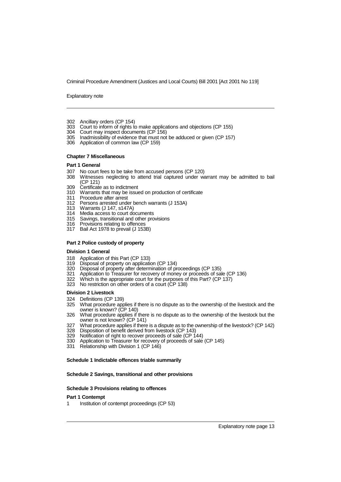Explanatory note

- 302 Ancillary orders (CP 154)
- 303 Court to inform of rights to make applications and objections (CP 155)<br>304 Court may inspect documents (CP 156)
- Court may inspect documents (CP 156)
- 305 Inadmissibility of evidence that must not be adduced or given (CP 157)
- 306 Application of common law (CP 159)

#### **Chapter 7 Miscellaneous**

## **Part 1 General**

- 307 No court fees to be take from accused persons (CP 120)
- Witnesses neglecting to attend trial captured under warrant may be admitted to bail (CP 121)
- 309 Certificate as to indictment
- Warrants that may be issued on production of certificate
- 311 Procedure after arrest<br>312 Persons arrested unde
- 312 Persons arrested under bench warrants (J 153A)
- Warrants (J 147, s147A)
- 314 Media access to court documents<br>315 Savings, transitional and other pro
- Savings, transitional and other provisions
- 316 Provisions relating to offences
- 317 Bail Act 1978 to prevail (J 153B)

## **Part 2 Police custody of property**

#### **Division 1 General**

- 318 Application of this Part (CP 133)
- 319 Disposal of property on application (CP 134)
- 320 Disposal of property after determination of proceedings (CP 135)
- Application to Treasurer for recovery of money or proceeds of sale (CP 136)
- 321 Application to Treasurer for recovery of money or proceeds of sale (CF 322 Which is the appropriate court for the purposes of this Part? (CP 137)
- 323 No restriction on other orders of a court (CP 138)

### **Division 2 Livestock**

- 324 Definitions (CP 139)
- 325 What procedure applies if there is no dispute as to the ownership of the livestock and the owner is known? (CP 140)
- 326 What procedure applies if there is no dispute as to the ownership of the livestock but the owner is not known? (CP 141)
- 327 What procedure applies if there is a dispute as to the ownership of the livestock? (CP 142)
- 328 Disposition of benefit derived from livestock (CP 143)
- 329 Notification of right to recover proceeds of sale (CP 144)
- 330 Application to Treasurer for recovery of proceeds of sale (CP 145)
- 331 Relationship with Division 1 (CP 146)

## **Schedule 1 Indictable offences triable summarily**

## **Schedule 2 Savings, transitional and other provisions**

### **Schedule 3 Provisions relating to offences**

## **Part 1 Contempt**

1 Institution of contempt proceedings (CP 53)